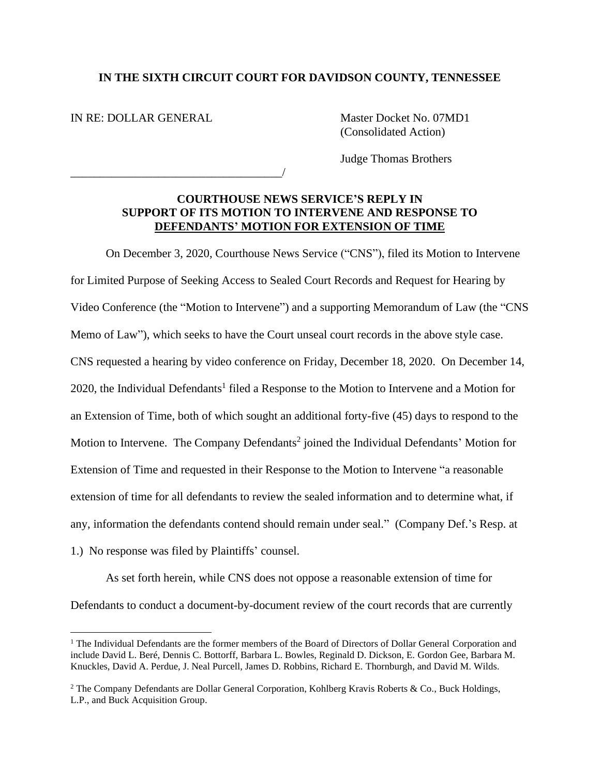## **IN THE SIXTH CIRCUIT COURT FOR DAVIDSON COUNTY, TENNESSEE**

IN RE: DOLLAR GENERAL

\_\_\_\_\_\_\_\_\_\_\_\_\_\_\_\_\_\_\_\_\_\_\_\_\_\_\_\_\_\_\_\_\_\_\_\_/

Master Docket No. 07MD1 (Consolidated Action)

Judge Thomas Brothers

## **COURTHOUSE NEWS SERVICE'S REPLY IN SUPPORT OF ITS MOTION TO INTERVENE AND RESPONSE TO DEFENDANTS' MOTION FOR EXTENSION OF TIME**

On December 3, 2020, Courthouse News Service ("CNS"), filed its Motion to Intervene for Limited Purpose of Seeking Access to Sealed Court Records and Request for Hearing by Video Conference (the "Motion to Intervene") and a supporting Memorandum of Law (the "CNS Memo of Law"), which seeks to have the Court unseal court records in the above style case. CNS requested a hearing by video conference on Friday, December 18, 2020. On December 14, 2020, the Individual Defendants<sup>1</sup> filed a Response to the Motion to Intervene and a Motion for an Extension of Time, both of which sought an additional forty-five (45) days to respond to the Motion to Intervene. The Company Defendants<sup>2</sup> joined the Individual Defendants' Motion for Extension of Time and requested in their Response to the Motion to Intervene "a reasonable extension of time for all defendants to review the sealed information and to determine what, if any, information the defendants contend should remain under seal." (Company Def.'s Resp. at 1.) No response was filed by Plaintiffs' counsel.

As set forth herein, while CNS does not oppose a reasonable extension of time for Defendants to conduct a document-by-document review of the court records that are currently

<sup>&</sup>lt;sup>1</sup> The Individual Defendants are the former members of the Board of Directors of Dollar General Corporation and include David L. Beré, Dennis C. Bottorff, Barbara L. Bowles, Reginald D. Dickson, E. Gordon Gee, Barbara M. Knuckles, David A. Perdue, J. Neal Purcell, James D. Robbins, Richard E. Thornburgh, and David M. Wilds.

<sup>&</sup>lt;sup>2</sup> The Company Defendants are Dollar General Corporation, Kohlberg Kravis Roberts & Co., Buck Holdings, L.P., and Buck Acquisition Group.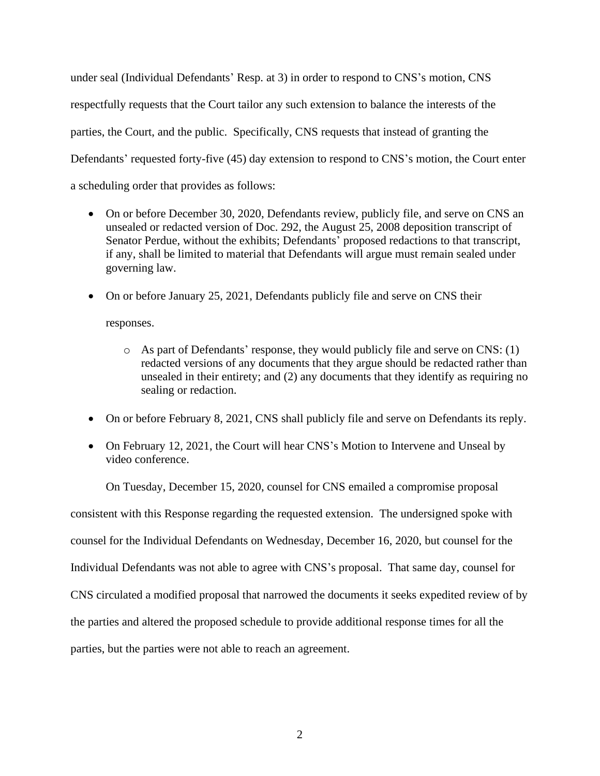under seal (Individual Defendants' Resp. at 3) in order to respond to CNS's motion, CNS respectfully requests that the Court tailor any such extension to balance the interests of the parties, the Court, and the public. Specifically, CNS requests that instead of granting the Defendants' requested forty-five (45) day extension to respond to CNS's motion, the Court enter a scheduling order that provides as follows:

- On or before December 30, 2020, Defendants review, publicly file, and serve on CNS an unsealed or redacted version of Doc. 292, the August 25, 2008 deposition transcript of Senator Perdue, without the exhibits; Defendants' proposed redactions to that transcript, if any, shall be limited to material that Defendants will argue must remain sealed under governing law.
- On or before January 25, 2021, Defendants publicly file and serve on CNS their

responses.

- o As part of Defendants' response, they would publicly file and serve on CNS: (1) redacted versions of any documents that they argue should be redacted rather than unsealed in their entirety; and (2) any documents that they identify as requiring no sealing or redaction.
- On or before February 8, 2021, CNS shall publicly file and serve on Defendants its reply.
- On February 12, 2021, the Court will hear CNS's Motion to Intervene and Unseal by video conference.

On Tuesday, December 15, 2020, counsel for CNS emailed a compromise proposal consistent with this Response regarding the requested extension. The undersigned spoke with counsel for the Individual Defendants on Wednesday, December 16, 2020, but counsel for the Individual Defendants was not able to agree with CNS's proposal. That same day, counsel for CNS circulated a modified proposal that narrowed the documents it seeks expedited review of by the parties and altered the proposed schedule to provide additional response times for all the parties, but the parties were not able to reach an agreement.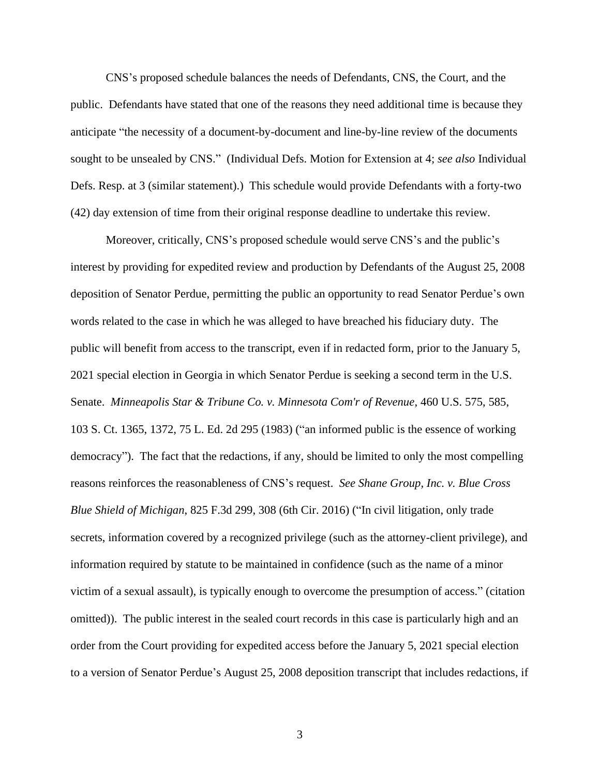CNS's proposed schedule balances the needs of Defendants, CNS, the Court, and the public. Defendants have stated that one of the reasons they need additional time is because they anticipate "the necessity of a document-by-document and line-by-line review of the documents sought to be unsealed by CNS." (Individual Defs. Motion for Extension at 4; *see also* Individual Defs. Resp. at 3 (similar statement).) This schedule would provide Defendants with a forty-two (42) day extension of time from their original response deadline to undertake this review.

Moreover, critically, CNS's proposed schedule would serve CNS's and the public's interest by providing for expedited review and production by Defendants of the August 25, 2008 deposition of Senator Perdue, permitting the public an opportunity to read Senator Perdue's own words related to the case in which he was alleged to have breached his fiduciary duty. The public will benefit from access to the transcript, even if in redacted form, prior to the January 5, 2021 special election in Georgia in which Senator Perdue is seeking a second term in the U.S. Senate. *Minneapolis Star & Tribune Co. v. Minnesota Com'r of Revenue*, 460 U.S. 575, 585, 103 S. Ct. 1365, 1372, 75 L. Ed. 2d 295 (1983) ("an informed public is the essence of working democracy"). The fact that the redactions, if any, should be limited to only the most compelling reasons reinforces the reasonableness of CNS's request. *See Shane Group, Inc. v. Blue Cross Blue Shield of Michigan*, 825 F.3d 299, 308 (6th Cir. 2016) ("In civil litigation, only trade secrets, information covered by a recognized privilege (such as the attorney-client privilege), and information required by statute to be maintained in confidence (such as the name of a minor victim of a sexual assault), is typically enough to overcome the presumption of access." (citation omitted)). The public interest in the sealed court records in this case is particularly high and an order from the Court providing for expedited access before the January 5, 2021 special election to a version of Senator Perdue's August 25, 2008 deposition transcript that includes redactions, if

3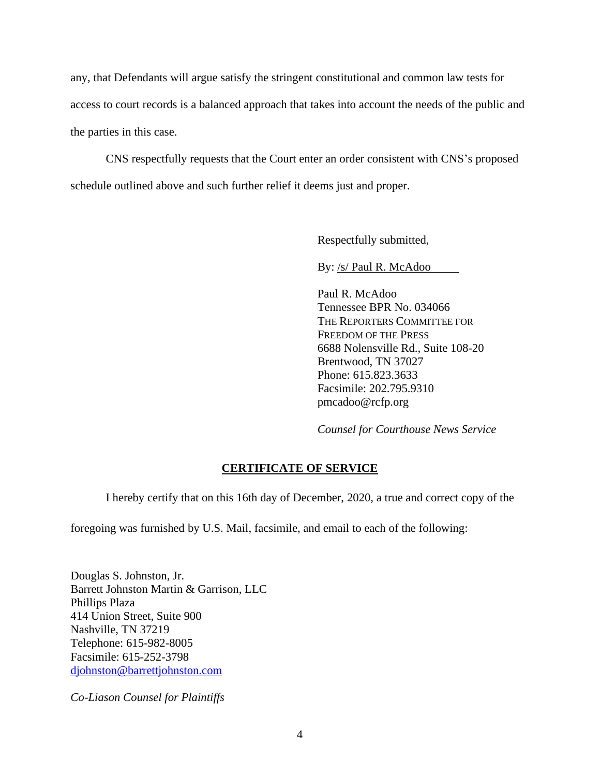any, that Defendants will argue satisfy the stringent constitutional and common law tests for access to court records is a balanced approach that takes into account the needs of the public and the parties in this case.

CNS respectfully requests that the Court enter an order consistent with CNS's proposed schedule outlined above and such further relief it deems just and proper.

Respectfully submitted,

By: /s/ Paul R. McAdoo

Paul R. McAdoo Tennessee BPR No. 034066 THE REPORTERS COMMITTEE FOR FREEDOM OF THE PRESS 6688 Nolensville Rd., Suite 108-20 Brentwood, TN 37027 Phone: 615.823.3633 Facsimile: 202.795.9310 pmcadoo@rcfp.org

*Counsel for Courthouse News Service*

## **CERTIFICATE OF SERVICE**

I hereby certify that on this 16th day of December, 2020, a true and correct copy of the

foregoing was furnished by U.S. Mail, facsimile, and email to each of the following:

Douglas S. Johnston, Jr. Barrett Johnston Martin & Garrison, LLC Phillips Plaza 414 Union Street, Suite 900 Nashville, TN 37219 Telephone: 615-982-8005 Facsimile: 615-252-3798 [djohnston@barrettjohnston.com](mailto:djohnston@barrettjohnston.com)

*Co-Liason Counsel for Plaintiffs*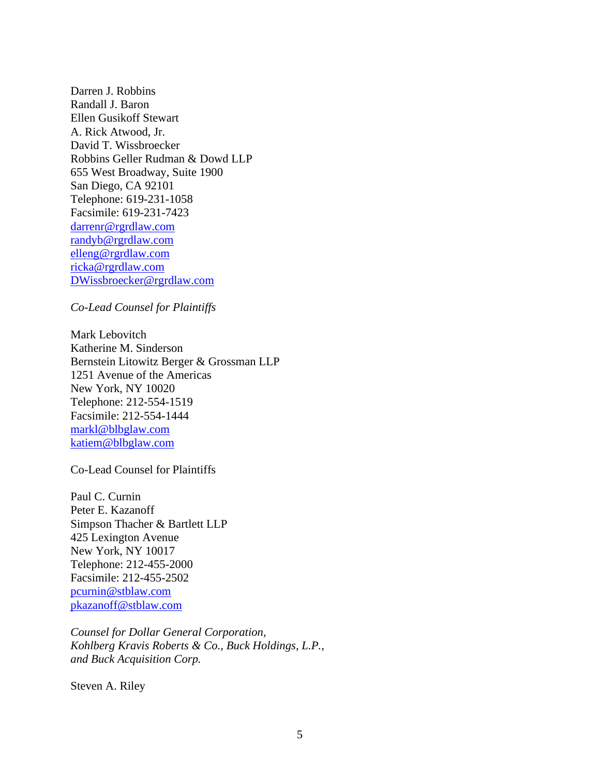Darren J. Robbins Randall J. Baron Ellen Gusikoff Stewart A. Rick Atwood, Jr. David T. Wissbroecker Robbins Geller Rudman & Dowd LLP 655 West Broadway, Suite 1900 San Diego, CA 92101 Telephone: 619-231-1058 Facsimile: 619-231-7423 [darrenr@rgrdlaw.com](mailto:darrenr@rgrdlaw.com) [randyb@rgrdlaw.com](mailto:randyb@rgrdlaw.com) [elleng@rgrdlaw.com](mailto:elleng@rgrdlaw.com) [ricka@rgrdlaw.com](mailto:ricka@rgrdlaw.com) [DWissbroecker@rgrdlaw.com](mailto:DWissbroecker@rgrdlaw.com)

*Co-Lead Counsel for Plaintiffs*

Mark Lebovitch Katherine M. Sinderson Bernstein Litowitz Berger & Grossman LLP 1251 Avenue of the Americas New York, NY 10020 Telephone: 212-554-1519 Facsimile: 212-554-1444 [markl@blbglaw.com](mailto:markl@blbglaw.com) [katiem@blbglaw.com](mailto:katiem@blbglaw.com)

Co-Lead Counsel for Plaintiffs

Paul C. Curnin Peter E. Kazanoff Simpson Thacher & Bartlett LLP 425 Lexington Avenue New York, NY 10017 Telephone: 212-455-2000 Facsimile: 212-455-2502 [pcurnin@stblaw.com](mailto:pcurnin@stblaw.com) [pkazanoff@stblaw.com](mailto:pkazanoff@stblaw.com)

*Counsel for Dollar General Corporation, Kohlberg Kravis Roberts & Co., Buck Holdings, L.P., and Buck Acquisition Corp.*

Steven A. Riley